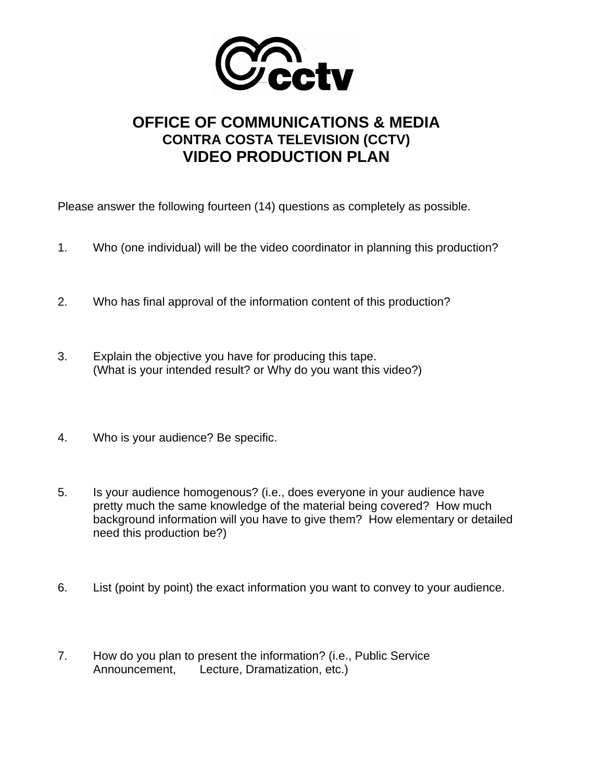

## **OFFICE OF COMMUNICATIONS & MEDIA CONTRA COSTA TELEVISION (CCTV) VIDEO PRODUCTION PLAN**

Please answer the following fourteen (14) questions as completely as possible.

- 1. Who (one individual) will be the video coordinator in planning this production?
- 2. Who has final approval of the information content of this production?
- 3. Explain the objective you have for producing this tape. (What is your intended result? or Why do you want this video?)
- 4. Who is your audience? Be specific.
- 5. Is your audience homogenous? (i.e., does everyone in your audience have pretty much the same knowledge of the material being covered? How much background information will you have to give them? How elementary or detailed need this production be?)
- 6. List (point by point) the exact information you want to convey to your audience.
- 7. How do you plan to present the information? (i.e., Public Service Announcement, Lecture, Dramatization, etc.)